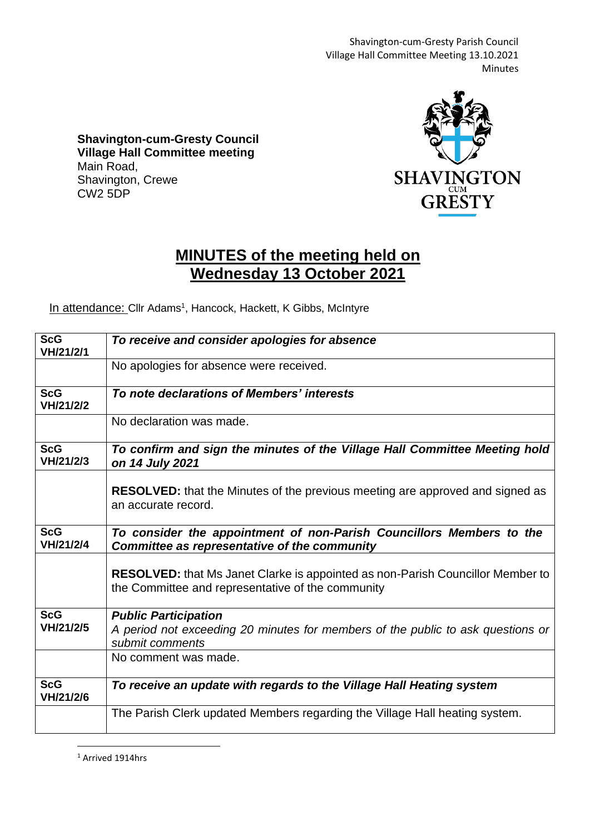Shavington-cum-Gresty Parish Council Village Hall Committee Meeting 13.10.2021 Minutes

**Shavington-cum-Gresty Council Village Hall Committee meeting** Main Road, Shavington, Crewe CW2 5DP



## **MINUTES of the meeting held on Wednesday 13 October 2021**

In attendance: Cllr Adams<sup>1</sup>, Hancock, Hackett, K Gibbs, McIntyre

| <b>ScG</b><br>VH/21/2/1 | To receive and consider apologies for absence                                                                                              |
|-------------------------|--------------------------------------------------------------------------------------------------------------------------------------------|
|                         | No apologies for absence were received.                                                                                                    |
| <b>ScG</b><br>VH/21/2/2 | To note declarations of Members' interests                                                                                                 |
|                         | No declaration was made.                                                                                                                   |
| <b>ScG</b><br>VH/21/2/3 | To confirm and sign the minutes of the Village Hall Committee Meeting hold<br>on 14 July 2021                                              |
|                         | <b>RESOLVED:</b> that the Minutes of the previous meeting are approved and signed as<br>an accurate record.                                |
| <b>ScG</b><br>VH/21/2/4 | To consider the appointment of non-Parish Councillors Members to the<br>Committee as representative of the community                       |
|                         | <b>RESOLVED:</b> that Ms Janet Clarke is appointed as non-Parish Councillor Member to<br>the Committee and representative of the community |
| <b>ScG</b><br>VH/21/2/5 | <b>Public Participation</b><br>A period not exceeding 20 minutes for members of the public to ask questions or<br>submit comments          |
|                         | No comment was made.                                                                                                                       |
| <b>ScG</b><br>VH/21/2/6 | To receive an update with regards to the Village Hall Heating system                                                                       |
|                         | The Parish Clerk updated Members regarding the Village Hall heating system.                                                                |

<sup>1</sup> Arrived 1914hrs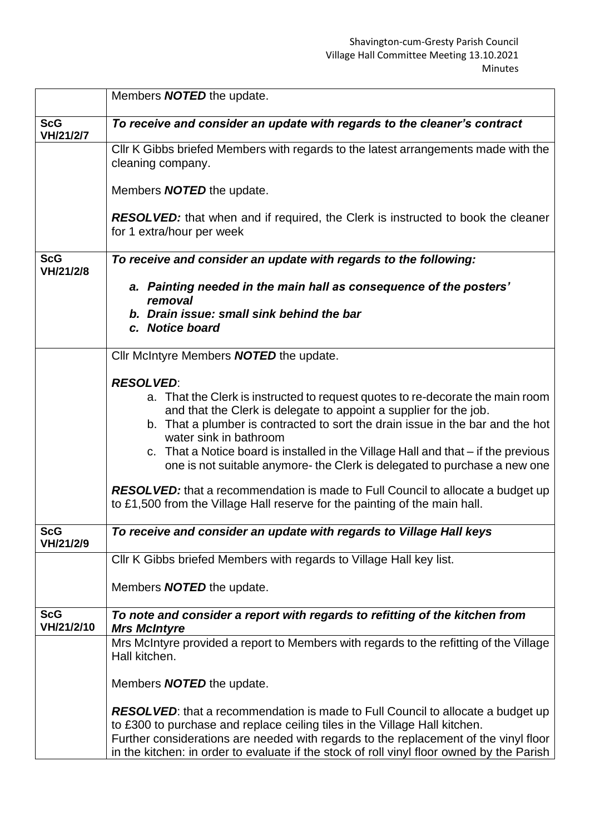|                          | Members <b>NOTED</b> the update.                                                                                                                                                                                                                                                                                                                                                                                                                                                                                                                                                                                               |
|--------------------------|--------------------------------------------------------------------------------------------------------------------------------------------------------------------------------------------------------------------------------------------------------------------------------------------------------------------------------------------------------------------------------------------------------------------------------------------------------------------------------------------------------------------------------------------------------------------------------------------------------------------------------|
| <b>ScG</b><br>VH/21/2/7  | To receive and consider an update with regards to the cleaner's contract                                                                                                                                                                                                                                                                                                                                                                                                                                                                                                                                                       |
|                          | CIIr K Gibbs briefed Members with regards to the latest arrangements made with the<br>cleaning company.                                                                                                                                                                                                                                                                                                                                                                                                                                                                                                                        |
|                          | Members <b>NOTED</b> the update.                                                                                                                                                                                                                                                                                                                                                                                                                                                                                                                                                                                               |
|                          | <b>RESOLVED:</b> that when and if required, the Clerk is instructed to book the cleaner<br>for 1 extra/hour per week                                                                                                                                                                                                                                                                                                                                                                                                                                                                                                           |
| <b>ScG</b><br>VH/21/2/8  | To receive and consider an update with regards to the following:                                                                                                                                                                                                                                                                                                                                                                                                                                                                                                                                                               |
|                          | a. Painting needed in the main hall as consequence of the posters'<br>removal<br>b. Drain issue: small sink behind the bar<br>c. Notice board                                                                                                                                                                                                                                                                                                                                                                                                                                                                                  |
|                          | Cllr McIntyre Members <b>NOTED</b> the update.                                                                                                                                                                                                                                                                                                                                                                                                                                                                                                                                                                                 |
|                          | <b>RESOLVED:</b><br>a. That the Clerk is instructed to request quotes to re-decorate the main room<br>and that the Clerk is delegate to appoint a supplier for the job.<br>b. That a plumber is contracted to sort the drain issue in the bar and the hot<br>water sink in bathroom<br>c. That a Notice board is installed in the Village Hall and that – if the previous<br>one is not suitable anymore- the Clerk is delegated to purchase a new one<br><b>RESOLVED:</b> that a recommendation is made to Full Council to allocate a budget up<br>to £1,500 from the Village Hall reserve for the painting of the main hall. |
| <b>ScG</b><br>VH/21/2/9  | To receive and consider an update with regards to Village Hall keys                                                                                                                                                                                                                                                                                                                                                                                                                                                                                                                                                            |
|                          | CIIr K Gibbs briefed Members with regards to Village Hall key list.<br>Members <b>NOTED</b> the update.                                                                                                                                                                                                                                                                                                                                                                                                                                                                                                                        |
| <b>ScG</b><br>VH/21/2/10 | To note and consider a report with regards to refitting of the kitchen from<br><b>Mrs McIntyre</b>                                                                                                                                                                                                                                                                                                                                                                                                                                                                                                                             |
|                          | Mrs McIntyre provided a report to Members with regards to the refitting of the Village<br>Hall kitchen.<br>Members <b>NOTED</b> the update.                                                                                                                                                                                                                                                                                                                                                                                                                                                                                    |
|                          | <b>RESOLVED:</b> that a recommendation is made to Full Council to allocate a budget up<br>to £300 to purchase and replace ceiling tiles in the Village Hall kitchen.<br>Further considerations are needed with regards to the replacement of the vinyl floor<br>in the kitchen: in order to evaluate if the stock of roll vinyl floor owned by the Parish                                                                                                                                                                                                                                                                      |